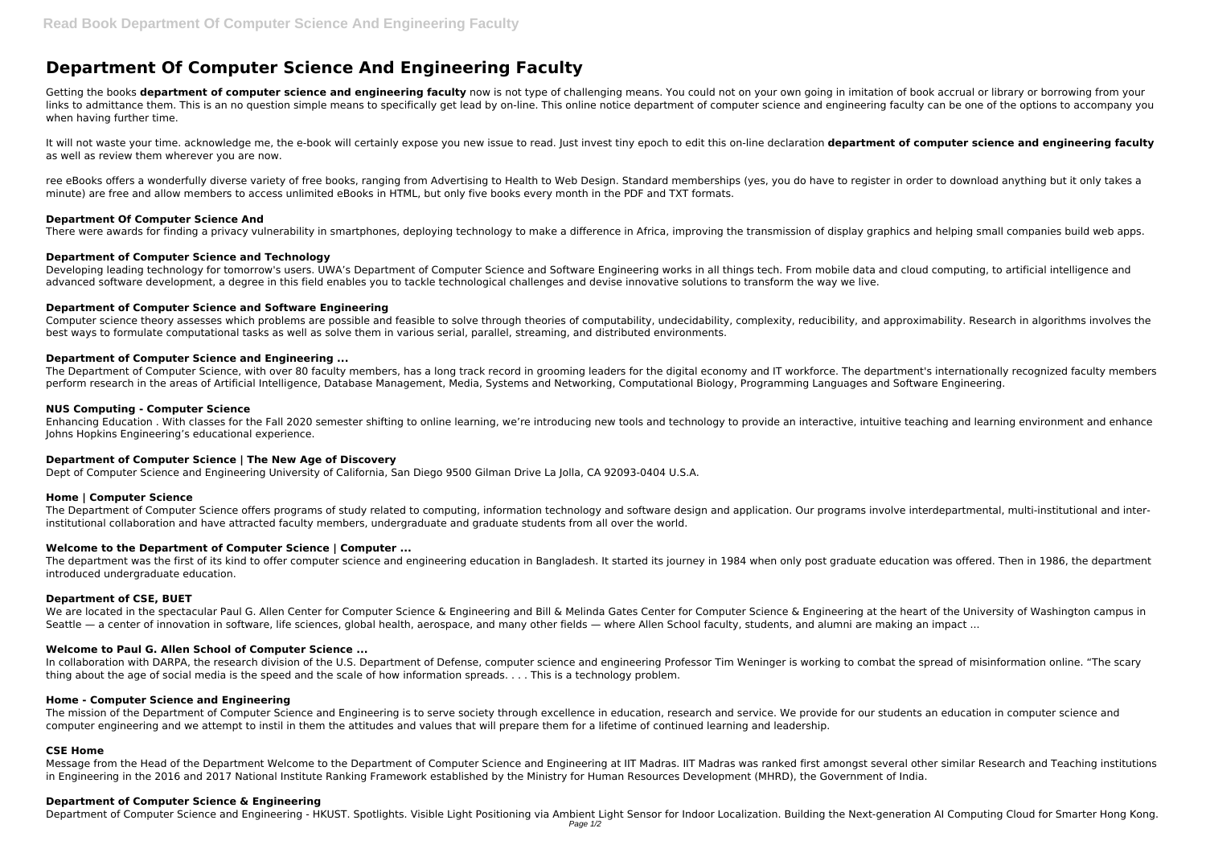# **Department Of Computer Science And Engineering Faculty**

Getting the books **department of computer science and engineering faculty** now is not type of challenging means. You could not on your own going in imitation of book accrual or library or borrowing from your links to admittance them. This is an no question simple means to specifically get lead by on-line. This online notice department of computer science and engineering faculty can be one of the options to accompany you when having further time.

ree eBooks offers a wonderfully diverse variety of free books, ranging from Advertising to Health to Web Design. Standard memberships (yes, you do have to register in order to download anything but it only takes a minute) are free and allow members to access unlimited eBooks in HTML, but only five books every month in the PDF and TXT formats.

It will not waste your time. acknowledge me, the e-book will certainly expose you new issue to read. Just invest tiny epoch to edit this on-line declaration **department of computer science and engineering faculty** as well as review them wherever you are now.

Developing leading technology for tomorrow's users. UWA's Department of Computer Science and Software Engineering works in all things tech. From mobile data and cloud computing, to artificial intelligence and advanced software development, a degree in this field enables you to tackle technological challenges and devise innovative solutions to transform the way we live.

Computer science theory assesses which problems are possible and feasible to solve through theories of computability, undecidability, complexity, reducibility, and approximability. Research in algorithms involves the best ways to formulate computational tasks as well as solve them in various serial, parallel, streaming, and distributed environments.

# **Department Of Computer Science And**

There were awards for finding a privacy vulnerability in smartphones, deploying technology to make a difference in Africa, improving the transmission of display graphics and helping small companies build web apps.

The Department of Computer Science, with over 80 faculty members, has a long track record in grooming leaders for the digital economy and IT workforce. The department's internationally recognized faculty members perform research in the areas of Artificial Intelligence, Database Management, Media, Systems and Networking, Computational Biology, Programming Languages and Software Engineering.

# **Department of Computer Science and Technology**

# **Department of Computer Science and Software Engineering**

The department was the first of its kind to offer computer science and engineering education in Bangladesh. It started its journey in 1984 when only post graduate education was offered. Then in 1986, the department introduced undergraduate education.

# **Department of Computer Science and Engineering ...**

In collaboration with DARPA, the research division of the U.S. Department of Defense, computer science and engineering Professor Tim Weninger is working to combat the spread of misinformation online. "The scary thing about the age of social media is the speed and the scale of how information spreads. . . . This is a technology problem.

# **NUS Computing - Computer Science**

Enhancing Education . With classes for the Fall 2020 semester shifting to online learning, we're introducing new tools and technology to provide an interactive, intuitive teaching and learning environment and enhance Johns Hopkins Engineering's educational experience.

#### **Department of Computer Science | The New Age of Discovery**

Dept of Computer Science and Engineering University of California, San Diego 9500 Gilman Drive La Jolla, CA 92093-0404 U.S.A.

#### **Home | Computer Science**

The Department of Computer Science offers programs of study related to computing, information technology and software design and application. Our programs involve interdepartmental, multi-institutional and interinstitutional collaboration and have attracted faculty members, undergraduate and graduate students from all over the world.

# **Welcome to the Department of Computer Science | Computer ...**

#### **Department of CSE, BUET**

We are located in the spectacular Paul G. Allen Center for Computer Science & Engineering and Bill & Melinda Gates Center for Computer Science & Engineering at the heart of the University of Washington campus in Seattle — a center of innovation in software, life sciences, global health, aerospace, and many other fields — where Allen School faculty, students, and alumni are making an impact ...

#### **Welcome to Paul G. Allen School of Computer Science ...**

#### **Home - Computer Science and Engineering**

The mission of the Department of Computer Science and Engineering is to serve society through excellence in education, research and service. We provide for our students an education in computer science and computer engineering and we attempt to instil in them the attitudes and values that will prepare them for a lifetime of continued learning and leadership.

#### **CSE Home**

Message from the Head of the Department Welcome to the Department of Computer Science and Engineering at IIT Madras. IIT Madras was ranked first amongst several other similar Research and Teaching institutions in Engineering in the 2016 and 2017 National Institute Ranking Framework established by the Ministry for Human Resources Development (MHRD), the Government of India.

#### **Department of Computer Science & Engineering**

Department of Computer Science and Engineering - HKUST. Spotlights. Visible Light Positioning via Ambient Light Sensor for Indoor Localization. Building the Next-generation AI Computing Cloud for Smarter Hong Kong.